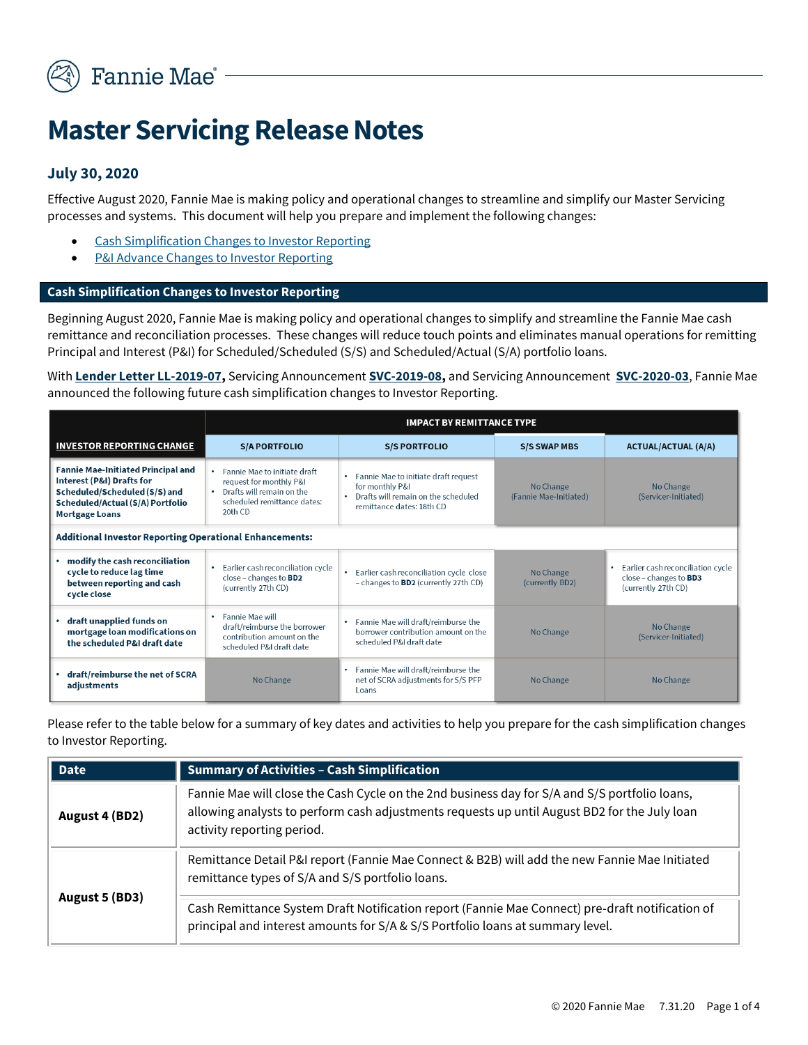

# **Master Servicing Release Notes**

## **July 30, 2020**

Effective August 2020, Fannie Mae is making policy and operational changes to streamline and simplify our Master Servicing processes and systems. This document will help you prepare and implement the following changes:

- **Cash Simplification Changes to Investor Reporting**
- P&I Advance Changes to Investor Reporting

### **Cash Simplification Changes to Investor Reporting**

Beginning August 2020, Fannie Mae is making policy and operational changes to simplify and streamline the Fannie Mae cash remittance and reconciliation processes. These changes will reduce touch points and eliminates manual operations for remitting Principal and Interest (P&I) for Scheduled/Scheduled (S/S) and Scheduled/Actual (S/A) portfolio loans.

With **[Lender Letter LL-2019-07,](https://singlefamily.fanniemae.com/media/document/pdf/lender-letter-ll-2019-07-advance-notice-fannie-mae-initiated-principal-and)** Servicing Announcement **[SVC-2019-08,](https://singlefamily.fanniemae.com/media/document/pdf/announcement-svc-2019-08-servicing-guide-update)** and Servicing Announcement **[SVC-2020-03](https://singlefamily.fanniemae.com/media/23351/display)**, Fannie Mae announced the following future cash simplification changes to Investor Reporting.

|                                                                                                                                                                      | <b>IMPACT BY REMITTANCE TYPE</b>                                                                                                   |                                                                                                                                          |                                     |                                                                                        |
|----------------------------------------------------------------------------------------------------------------------------------------------------------------------|------------------------------------------------------------------------------------------------------------------------------------|------------------------------------------------------------------------------------------------------------------------------------------|-------------------------------------|----------------------------------------------------------------------------------------|
| <b>INVESTOR REPORTING CHANGE</b>                                                                                                                                     | <b>S/A PORTFOLIO</b>                                                                                                               | <b>S/S PORTFOLIO</b>                                                                                                                     | <b>S/S SWAP MBS</b>                 | <b>ACTUAL/ACTUAL (A/A)</b>                                                             |
| <b>Fannie Mae-Initiated Principal and</b><br>Interest (P&I) Drafts for<br>Scheduled/Scheduled (S/S) and<br>Scheduled/Actual (S/A) Portfolio<br><b>Mortgage Loans</b> | • Fannie Mae to initiate draft<br>request for monthly P&I<br>• Drafts will remain on the<br>scheduled remittance dates:<br>20th CD | Fannie Mae to initiate draft request<br>$\bullet$<br>for monthly P&I<br>Drafts will remain on the scheduled<br>remittance dates: 18th CD | No Change<br>(Fannie Mae-Initiated) | No Change<br>(Servicer-Initiated)                                                      |
| <b>Additional Investor Reporting Operational Enhancements:</b>                                                                                                       |                                                                                                                                    |                                                                                                                                          |                                     |                                                                                        |
| modify the cash reconciliation<br>cycle to reduce lag time<br>between reporting and cash<br>cycle close                                                              | • Earlier cash reconciliation cycle<br>close - changes to BD2<br>(currently 27th CD)                                               | Earlier cash reconciliation cycle close<br>- changes to <b>BD2</b> (currently 27th CD)                                                   | No Change<br>(currently BD2)        | • Earlier cash reconciliation cycle<br>close – changes to $BD3$<br>(currently 27th CD) |
| draft unapplied funds on<br>mortgage loan modifications on<br>the scheduled P&I draft date                                                                           | • Fannie Mae will<br>draft/reimburse the borrower<br>contribution amount on the<br>scheduled P&I draft date                        | Fannie Mae will draft/reimburse the<br>$\bullet$<br>borrower contribution amount on the<br>scheduled P&I draft date                      | No Change                           | No Change<br>(Servicer-Initiated)                                                      |
| draft/reimburse the net of SCRA<br>adjustments                                                                                                                       | No Change                                                                                                                          | • Fannie Mae will draft/reimburse the<br>net of SCRA adjustments for S/S PFP<br>Loans                                                    | No Change                           | No Change                                                                              |

Please refer to the table below for a summary of key dates and activities to help you prepare for the cash simplification changes to Investor Reporting.

| <b>Date</b>    | <b>Summary of Activities - Cash Simplification</b>                                                                                                                                                                          |  |  |
|----------------|-----------------------------------------------------------------------------------------------------------------------------------------------------------------------------------------------------------------------------|--|--|
| August 4 (BD2) | Fannie Mae will close the Cash Cycle on the 2nd business day for S/A and S/S portfolio loans,<br>allowing analysts to perform cash adjustments requests up until August BD2 for the July loan<br>activity reporting period. |  |  |
| August 5 (BD3) | Remittance Detail P&I report (Fannie Mae Connect & B2B) will add the new Fannie Mae Initiated<br>remittance types of S/A and S/S portfolio loans.                                                                           |  |  |
|                | Cash Remittance System Draft Notification report (Fannie Mae Connect) pre-draft notification of<br>principal and interest amounts for S/A & S/S Portfolio loans at summary level.                                           |  |  |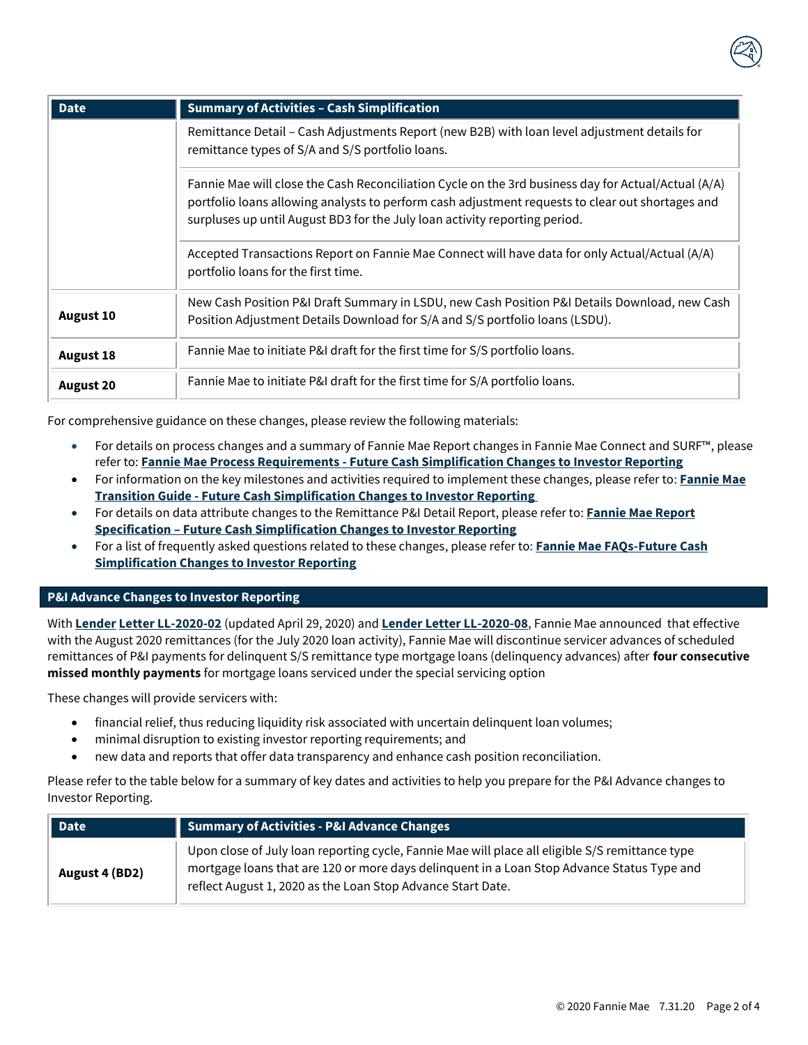

| <b>Date</b>      | <b>Summary of Activities - Cash Simplification</b>                                                                                                                                                                                                                                    |  |  |
|------------------|---------------------------------------------------------------------------------------------------------------------------------------------------------------------------------------------------------------------------------------------------------------------------------------|--|--|
|                  | Remittance Detail - Cash Adjustments Report (new B2B) with loan level adjustment details for<br>remittance types of S/A and S/S portfolio loans.                                                                                                                                      |  |  |
|                  | Fannie Mae will close the Cash Reconciliation Cycle on the 3rd business day for Actual/Actual (A/A)<br>portfolio loans allowing analysts to perform cash adjustment requests to clear out shortages and<br>surpluses up until August BD3 for the July loan activity reporting period. |  |  |
|                  | Accepted Transactions Report on Fannie Mae Connect will have data for only Actual/Actual (A/A)<br>portfolio loans for the first time.                                                                                                                                                 |  |  |
| <b>August 10</b> | New Cash Position P&I Draft Summary in LSDU, new Cash Position P&I Details Download, new Cash<br>Position Adjustment Details Download for S/A and S/S portfolio loans (LSDU).                                                                                                         |  |  |
| <b>August 18</b> | Fannie Mae to initiate P&I draft for the first time for S/S portfolio loans.                                                                                                                                                                                                          |  |  |
| <b>August 20</b> | Fannie Mae to initiate P&I draft for the first time for S/A portfolio loans.                                                                                                                                                                                                          |  |  |

For comprehensive guidance on these changes, please review the following materials:

- For details on process changes and a summary of Fannie Mae Report changes in Fannie Mae Connect and SURF™, please refer to: **Fannie Mae Process Requirements - [Future Cash Simplification Changes to Investor Reporting](https://singlefamily.fanniemae.com/media/16931/display)**
- For information on the key milestones and activities required to implement these changes, please refer to: **[Fannie Mae](https://singlefamily.fanniemae.com/media/22231/display)  Transition Guide - [Future Cash Simplification Changes to Investor Reporting](https://singlefamily.fanniemae.com/media/22231/display)**
- For details on data attribute changes to the Remittance P&I Detail Report, please refer to: **[Fannie Mae Report](https://singlefamily.fanniemae.com/media/22296)  Specification – [Future Cash Simplification Changes to Investor Reporting](https://singlefamily.fanniemae.com/media/22296)**
- For a list of frequently asked questions related to these changes, please refer to: **[Fannie Mae FAQs-Future Cash](https://singlefamily.fanniemae.com/media/16936)  [Simplification Changes to Investor Reporting](https://singlefamily.fanniemae.com/media/16936)**

#### **P&I Advance Changes to Investor Reporting**

With **Lender [Letter LL-2020-02](https://singlefamily.fanniemae.com/media/document/pdf/lender-letter-ll-2020-02-impact-covid-19-servicing)** (updated April 29, 2020) and **[Lender Letter LL-2020-08](https://singlefamily.fanniemae.com/media/document/pdf/lender-letter-ll-2020-08-servicer-principal-and-interest-requirements-change)**, Fannie Mae announced that effective with the August 2020 remittances (for the July 2020 loan activity), Fannie Mae will discontinue servicer advances of scheduled remittances of P&I payments for delinquent S/S remittance type mortgage loans (delinquency advances) after **four consecutive missed monthly payments** for mortgage loans serviced under the special servicing option

These changes will provide servicers with:

- financial relief, thus reducing liquidity risk associated with uncertain delinquent loan volumes;
- minimal disruption to existing investor reporting requirements; and
- new data and reports that offer data transparency and enhance cash position reconciliation.

Please refer to the table below for a summary of key dates and activities to help you prepare for the P&I Advance changes to Investor Reporting.

| <b>Date</b>    | Summary of Activities - P&I Advance Changes                                                                                                                                                                                                                  |  |  |
|----------------|--------------------------------------------------------------------------------------------------------------------------------------------------------------------------------------------------------------------------------------------------------------|--|--|
| August 4 (BD2) | Upon close of July loan reporting cycle, Fannie Mae will place all eligible S/S remittance type<br>mortgage loans that are 120 or more days delinquent in a Loan Stop Advance Status Type and<br>reflect August 1, 2020 as the Loan Stop Advance Start Date. |  |  |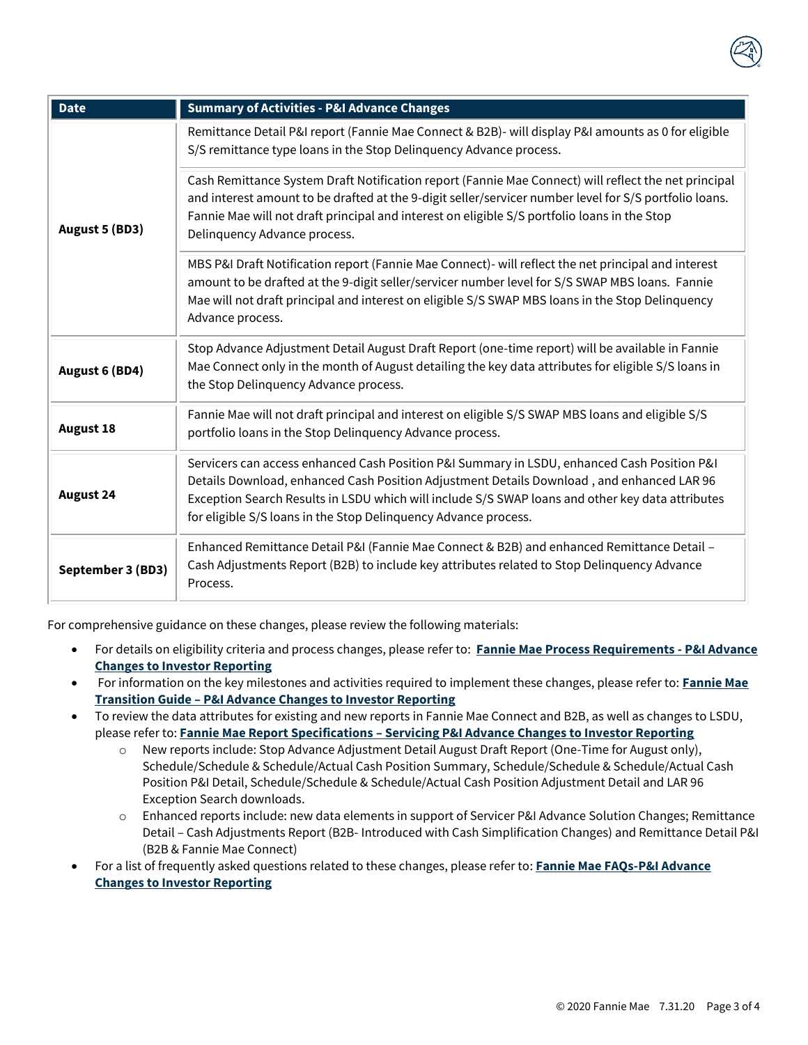

| <b>Date</b>       | <b>Summary of Activities - P&amp;I Advance Changes</b>                                                                                                                                                                                                                                                                                                          |
|-------------------|-----------------------------------------------------------------------------------------------------------------------------------------------------------------------------------------------------------------------------------------------------------------------------------------------------------------------------------------------------------------|
| August 5 (BD3)    | Remittance Detail P&I report (Fannie Mae Connect & B2B)- will display P&I amounts as 0 for eligible<br>S/S remittance type loans in the Stop Delinquency Advance process.                                                                                                                                                                                       |
|                   | Cash Remittance System Draft Notification report (Fannie Mae Connect) will reflect the net principal<br>and interest amount to be drafted at the 9-digit seller/servicer number level for S/S portfolio loans.<br>Fannie Mae will not draft principal and interest on eligible S/S portfolio loans in the Stop<br>Delinquency Advance process.                  |
|                   | MBS P&I Draft Notification report (Fannie Mae Connect)- will reflect the net principal and interest<br>amount to be drafted at the 9-digit seller/servicer number level for S/S SWAP MBS loans. Fannie<br>Mae will not draft principal and interest on eligible S/S SWAP MBS loans in the Stop Delinquency<br>Advance process.                                  |
| August 6 (BD4)    | Stop Advance Adjustment Detail August Draft Report (one-time report) will be available in Fannie<br>Mae Connect only in the month of August detailing the key data attributes for eligible S/S loans in<br>the Stop Delinquency Advance process.                                                                                                                |
| <b>August 18</b>  | Fannie Mae will not draft principal and interest on eligible S/S SWAP MBS loans and eligible S/S<br>portfolio loans in the Stop Delinquency Advance process.                                                                                                                                                                                                    |
| <b>August 24</b>  | Servicers can access enhanced Cash Position P&I Summary in LSDU, enhanced Cash Position P&I<br>Details Download, enhanced Cash Position Adjustment Details Download, and enhanced LAR 96<br>Exception Search Results in LSDU which will include S/S SWAP loans and other key data attributes<br>for eligible S/S loans in the Stop Delinquency Advance process. |
| September 3 (BD3) | Enhanced Remittance Detail P&I (Fannie Mae Connect & B2B) and enhanced Remittance Detail -<br>Cash Adjustments Report (B2B) to include key attributes related to Stop Delinquency Advance<br>Process.                                                                                                                                                           |

For comprehensive guidance on these changes, please review the following materials:

- For details on eligibility criteria and process changes, please refer to: **[Fannie Mae Process Requirements -](https://singlefamily.fanniemae.com/media/16931/display) P&I Advance [Changes to Investor Reporting](https://singlefamily.fanniemae.com/media/16931/display)**
- For information on the key milestones and activities required to implement these changes, please refer to: **[Fannie Mae](https://singlefamily.fanniemae.com/media/23586/display)  Transition Guide – [P&I Advance Changes to Investor Reporting](https://singlefamily.fanniemae.com/media/23586/display)**
- To review the data attributes for existing and new reports in Fannie Mae Connect and B2B, as well as changes to LSDU, please refer to: **Fannie Mae Report Specifications – [Servicing P&I Advance Changes to Investor Reporting](https://singlefamily.fanniemae.com/media/document/xlsx/servicer-pi-advances-solution-changes-reports-specifications)**
	- o New reports include: Stop Advance Adjustment Detail August Draft Report (One-Time for August only), Schedule/Schedule & Schedule/Actual Cash Position Summary, Schedule/Schedule & Schedule/Actual Cash Position P&I Detail, Schedule/Schedule & Schedule/Actual Cash Position Adjustment Detail and LAR 96 Exception Search downloads.
	- o Enhanced reports include: new data elements in support of Servicer P&I Advance Solution Changes; Remittance Detail – Cash Adjustments Report (B2B- Introduced with Cash Simplification Changes) and Remittance Detail P&I (B2B & Fannie Mae Connect)
- For a list of frequently asked questions related to these changes, please refer to: **[Fannie Mae FAQs-P&I Advance](https://singlefamily.fanniemae.com/media/document/pdf/servicer-principal-and-interest-pi-advances-solution-frequently-asked-questions)  [Changes to Investor Reporting](https://singlefamily.fanniemae.com/media/document/pdf/servicer-principal-and-interest-pi-advances-solution-frequently-asked-questions)**